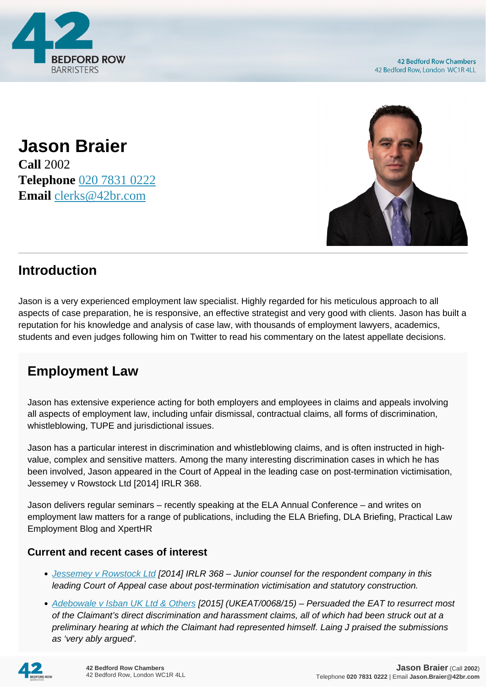

**Jason Braier Call** 2002 **Telephone** [020 7831 0222](https://pdf.codeshore.co/_42br/tel:020 7831 0222) **Email** [clerks@42br.com](mailto:clerks@42br.com)



## **Introduction**

Jason is a very experienced employment law specialist. Highly regarded for his meticulous approach to all aspects of case preparation, he is responsive, an effective strategist and very good with clients. Jason has built a reputation for his knowledge and analysis of case law, with thousands of employment lawyers, academics, students and even judges following him on Twitter to read his commentary on the latest appellate decisions.

# **Employment Law**

Jason has extensive experience acting for both employers and employees in claims and appeals involving all aspects of employment law, including unfair dismissal, contractual claims, all forms of discrimination, whistleblowing, TUPE and jurisdictional issues.

Jason has a particular interest in discrimination and whistleblowing claims, and is often instructed in highvalue, complex and sensitive matters. Among the many interesting discrimination cases in which he has been involved, Jason appeared in the Court of Appeal in the leading case on post-termination victimisation, Jessemey v Rowstock Ltd [2014] IRLR 368.

Jason delivers regular seminars – recently speaking at the ELA Annual Conference – and writes on employment law matters for a range of publications, including the ELA Briefing, DLA Briefing, Practical Law Employment Blog and XpertHR

## **Current and recent cases of interest**

- [Jessemey v Rowstock Ltd](https://www.bailii.org/cgi-bin/format.cgi?doc=/ew/cases/EWCA/Civ/2014/185.html&query=(braier)) [2014] IRLR 368 Junior counsel for the respondent company in this leading Court of Appeal case about post-termination victimisation and statutory construction.
- [Adebowale v Isban UK Ltd & Others](https://www.bailii.org/cgi-bin/format.cgi?doc=/uk/cases/UKEAT/2015/0068_15_0508.html&query=(braier)) [2015] (UKEAT/0068/15) Persuaded the EAT to resurrect most of the Claimant's direct discrimination and harassment claims, all of which had been struck out at a preliminary hearing at which the Claimant had represented himself. Laing J praised the submissions as 'very ably argued'.

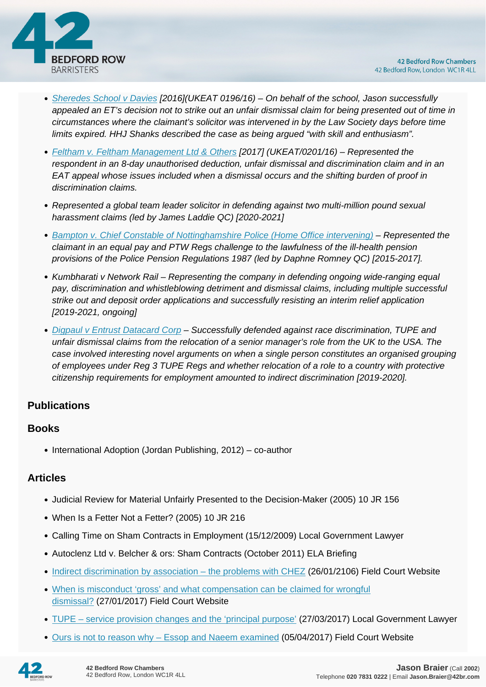

- [Sheredes School v Davies](https://www.bailii.org/cgi-bin/format.cgi?doc=/uk/cases/UKEAT/2016/0196_16_1309.html&query=(braier)) [2016](UKEAT 0196/16) On behalf of the school, Jason successfully appealed an ET's decision not to strike out an unfair dismissal claim for being presented out of time in circumstances where the claimant's solicitor was intervened in by the Law Society days before time limits expired. HHJ Shanks described the case as being argued "with skill and enthusiasm".
- [Feltham v. Feltham Management Ltd & Others](https://www.bailii.org/cgi-bin/format.cgi?doc=/uk/cases/UKEAT/2017/0201_16_2112.html&query=(braier)) [2017] (UKEAT/0201/16) Represented the respondent in an 8-day unauthorised deduction, unfair dismissal and discrimination claim and in an EAT appeal whose issues included when a dismissal occurs and the shifting burden of proof in discrimination claims.
- Represented a global team leader solicitor in defending against two multi-million pound sexual harassment claims (led by James Laddie QC) [2020-2021]
- [Bampton v. Chief Constable of Nottinghamshire Police \(Home Office intervening\)](https://assets.publishing.service.gov.uk/media/591463e240f0b638b0000037/Mrs_J_Bampton_v_Chief_Constable_of_Nottinghamshire_Police_Final_2601538_16.pdf) Represented the claimant in an equal pay and PTW Regs challenge to the lawfulness of the ill-health pension provisions of the Police Pension Regulations 1987 (led by Daphne Romney QC) [2015-2017].
- Kumbharati v Network Rail Representing the company in defending ongoing wide-ranging equal pay, discrimination and whistleblowing detriment and dismissal claims, including multiple successful strike out and deposit order applications and successfully resisting an interim relief application [2019-2021, ongoing]
- [Digpaul v Entrust Datacard Corp](https://assets.publishing.service.gov.uk/media/5ec6920fd3bf7f460515d13b/Mr_S_Digpaul_v_Entrust_Datacard_Corp___Others_2600725_2018_Reserved_Judgment___Reasons.pdf) Successfully defended against race discrimination, TUPE and unfair dismissal claims from the relocation of a senior manager's role from the UK to the USA. The case involved interesting novel arguments on when a single person constitutes an organised grouping of employees under Reg 3 TUPE Regs and whether relocation of a role to a country with protective citizenship requirements for employment amounted to indirect discrimination [2019-2020].

## **Publications**

#### **Books**

 $\bullet$  International Adoption (Jordan Publishing, 2012) – co-author

#### **Articles**

- Judicial Review for Material Unfairly Presented to the Decision-Maker (2005) 10 JR 156
- When Is a Fetter Not a Fetter? (2005) 10 JR 216
- Calling Time on Sham Contracts in Employment (15/12/2009) Local Government Lawyer
- Autoclenz Ltd v. Belcher & ors: Sham Contracts (October 2011) ELA Briefing
- [Indirect discrimination by association the problems with CHEZ](https://fieldcourt.co.uk/publication/indirect-discrimination-by-association-the-problems-with-chez/) (26/01/2106) Field Court Website
- [When is misconduct 'gross' and what compensation can be claimed for wrongful](https://fieldcourt.co.uk/publication/misconduct-gross-compensation-can-claimed-wrongful-dismissal/) [dismissal?](https://fieldcourt.co.uk/publication/misconduct-gross-compensation-can-claimed-wrongful-dismissal/) (27/01/2017) Field Court Website
- [TUPE service provision changes and the 'principal purpose'](http://www.localgovernmentlawyer.co.uk/index.php?option=com_content&view=article&id=30495:tupe-service-provision-changes-and-the-principal-purpose&catid=53:procurement-and-contracts-articles&Itemid=21) (27/03/2017) Local Government Lawyer
- Ours is not to reason why Essop and Naeem examined (05/04/2017) Field Court Website